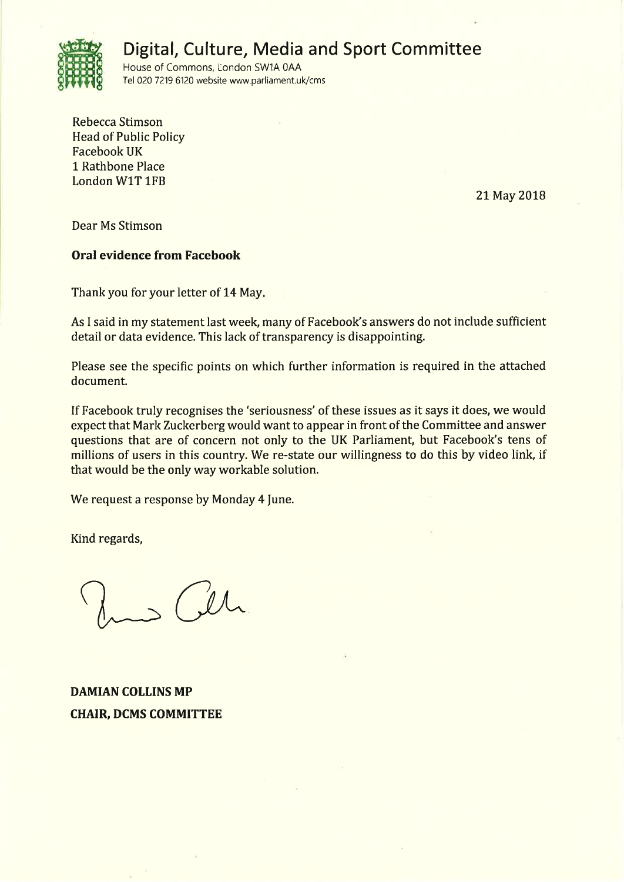

# Digital, Culture, Media and Sport Committee

House of Commons, London SW1A 0AA Tel 020 7219 6120 website www.parliament.uk/cms

Rebecca Stimson **Head of Public Policy Facebook UK** 1 Rathbone Place London W1T 1FB

21 May 2018

Dear Ms Stimson

# **Oral evidence from Facebook**

Thank you for your letter of 14 May.

As I said in my statement last week, many of Facebook's answers do not include sufficient detail or data evidence. This lack of transparency is disappointing.

Please see the specific points on which further information is required in the attached document.

If Facebook truly recognises the 'seriousness' of these issues as it says it does, we would expect that Mark Zuckerberg would want to appear in front of the Committee and answer questions that are of concern not only to the UK Parliament, but Facebook's tens of millions of users in this country. We re-state our willingness to do this by video link, if that would be the only way workable solution.

We request a response by Monday 4 June.

Kind regards,

 $\sqrt{11}$ 

**DAMIAN COLLINS MP CHAIR, DCMS COMMITTEE**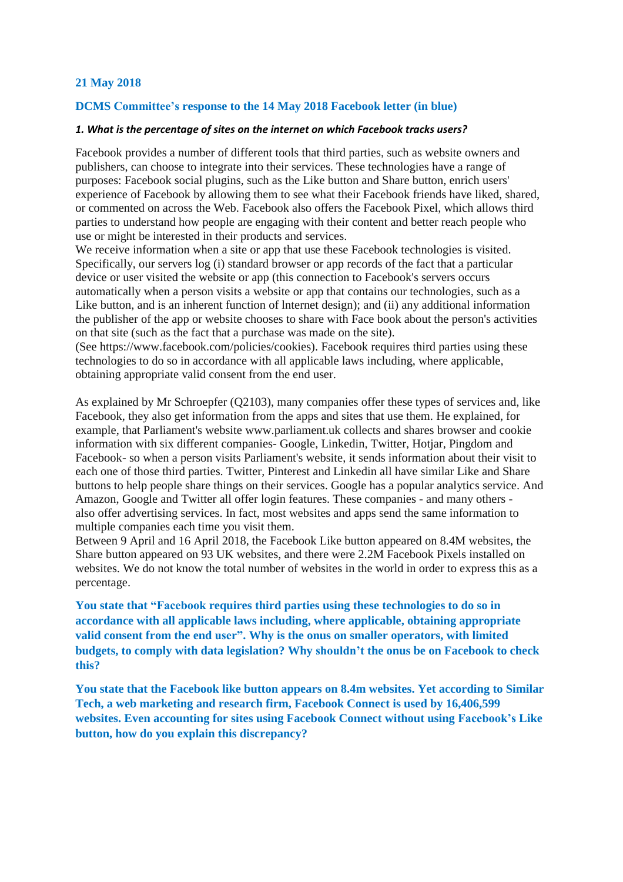## **21 May 2018**

#### **DCMS Committee's response to the 14 May 2018 Facebook letter (in blue)**

#### *1. What is the percentage of sites on the internet on which Facebook tracks users?*

Facebook provides a number of different tools that third parties, such as website owners and publishers, can choose to integrate into their services. These technologies have a range of purposes: Facebook social plugins, such as the Like button and Share button, enrich users' experience of Facebook by allowing them to see what their Facebook friends have liked, shared, or commented on across the Web. Facebook also offers the Facebook Pixel, which allows third parties to understand how people are engaging with their content and better reach people who use or might be interested in their products and services.

We receive information when a site or app that use these Facebook technologies is visited. Specifically, our servers log (i) standard browser or app records of the fact that a particular device or user visited the website or app (this connection to Facebook's servers occurs automatically when a person visits a website or app that contains our technologies, such as a Like button, and is an inherent function of lnternet design); and (ii) any additional information the publisher of the app or website chooses to share with Face book about the person's activities on that site (such as the fact that a purchase was made on the site).

(See https://www.facebook.com/policies/cookies). Facebook requires third parties using these technologies to do so in accordance with all applicable laws including, where applicable, obtaining appropriate valid consent from the end user.

As explained by Mr Schroepfer (Q2103), many companies offer these types of services and, like Facebook, they also get information from the apps and sites that use them. He explained, for example, that Parliament's website www.parliament.uk collects and shares browser and cookie information with six different companies- Google, Linkedin, Twitter, Hotjar, Pingdom and Facebook- so when a person visits Parliament's website, it sends information about their visit to each one of those third parties. Twitter, Pinterest and Linkedin all have similar Like and Share buttons to help people share things on their services. Google has a popular analytics service. And Amazon, Google and Twitter all offer login features. These companies - and many others also offer advertising services. In fact, most websites and apps send the same information to multiple companies each time you visit them.

Between 9 April and 16 April 2018, the Facebook Like button appeared on 8.4M websites, the Share button appeared on 93 UK websites, and there were 2.2M Facebook Pixels installed on websites. We do not know the total number of websites in the world in order to express this as a percentage.

**You state that "Facebook requires third parties using these technologies to do so in accordance with all applicable laws including, where applicable, obtaining appropriate valid consent from the end user". Why is the onus on smaller operators, with limited budgets, to comply with data legislation? Why shouldn't the onus be on Facebook to check this?**

**You state that the Facebook like button appears on 8.4m websites. Yet according to Similar Tech, a web marketing and research firm, Facebook Connect is used by 16,406,599 websites. Even accounting for sites using Facebook Connect without using Facebook's Like button, how do you explain this discrepancy?**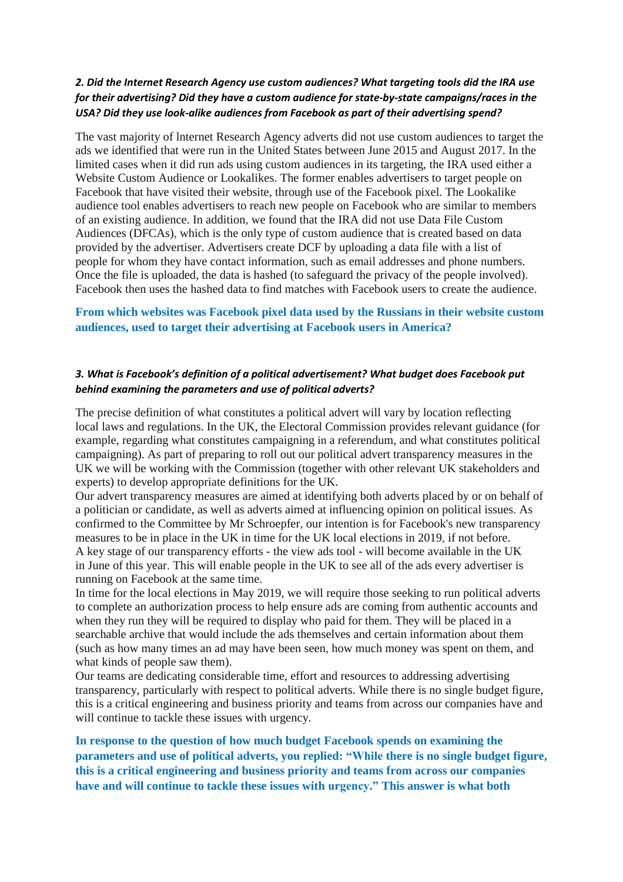# *2. Did the Internet Research Agency use custom audiences? What targeting tools did the IRA use for their advertising? Did they have a custom audience for state-by-state campaigns/races in the USA? Did they use look-alike audiences from Facebook as part of their advertising spend?*

The vast majority of lnternet Research Agency adverts did not use custom audiences to target the ads we identified that were run in the United States between June 2015 and August 2017. In the limited cases when it did run ads using custom audiences in its targeting, the IRA used either a Website Custom Audience or Lookalikes. The former enables advertisers to target people on Facebook that have visited their website, through use of the Facebook pixel. The Lookalike audience tool enables advertisers to reach new people on Facebook who are similar to members of an existing audience. In addition, we found that the IRA did not use Data File Custom Audiences (DFCAs), which is the only type of custom audience that is created based on data provided by the advertiser. Advertisers create DCF by uploading a data file with a list of people for whom they have contact information, such as email addresses and phone numbers. Once the file is uploaded, the data is hashed (to safeguard the privacy of the people involved). Facebook then uses the hashed data to find matches with Facebook users to create the audience.

# **From which websites was Facebook pixel data used by the Russians in their website custom audiences, used to target their advertising at Facebook users in America?**

## *3. What is Facebook's definition of a political advertisement? What budget does Facebook put behind examining the parameters and use of political adverts?*

The precise definition of what constitutes a political advert will vary by location reflecting local laws and regulations. In the UK, the Electoral Commission provides relevant guidance (for example, regarding what constitutes campaigning in a referendum, and what constitutes political campaigning). As part of preparing to roll out our political advert transparency measures in the UK we will be working with the Commission (together with other relevant UK stakeholders and experts) to develop appropriate definitions for the UK.

Our advert transparency measures are aimed at identifying both adverts placed by or on behalf of a politician or candidate, as well as adverts aimed at influencing opinion on political issues. As confirmed to the Committee by Mr Schroepfer, our intention is for Facebook's new transparency measures to be in place in the UK in time for the UK local elections in 2019, if not before. A key stage of our transparency efforts - the view ads tool - will become available in the UK in June of this year. This will enable people in the UK to see all of the ads every advertiser is running on Facebook at the same time.

In time for the local elections in May 2019, we will require those seeking to run political adverts to complete an authorization process to help ensure ads are coming from authentic accounts and when they run they will be required to display who paid for them. They will be placed in a searchable archive that would include the ads themselves and certain information about them (such as how many times an ad may have been seen, how much money was spent on them, and what kinds of people saw them).

Our teams are dedicating considerable time, effort and resources to addressing advertising transparency, particularly with respect to political adverts. While there is no single budget figure, this is a critical engineering and business priority and teams from across our companies have and will continue to tackle these issues with urgency.

**In response to the question of how much budget Facebook spends on examining the parameters and use of political adverts, you replied: "While there is no single budget figure, this is a critical engineering and business priority and teams from across our companies have and will continue to tackle these issues with urgency." This answer is what both**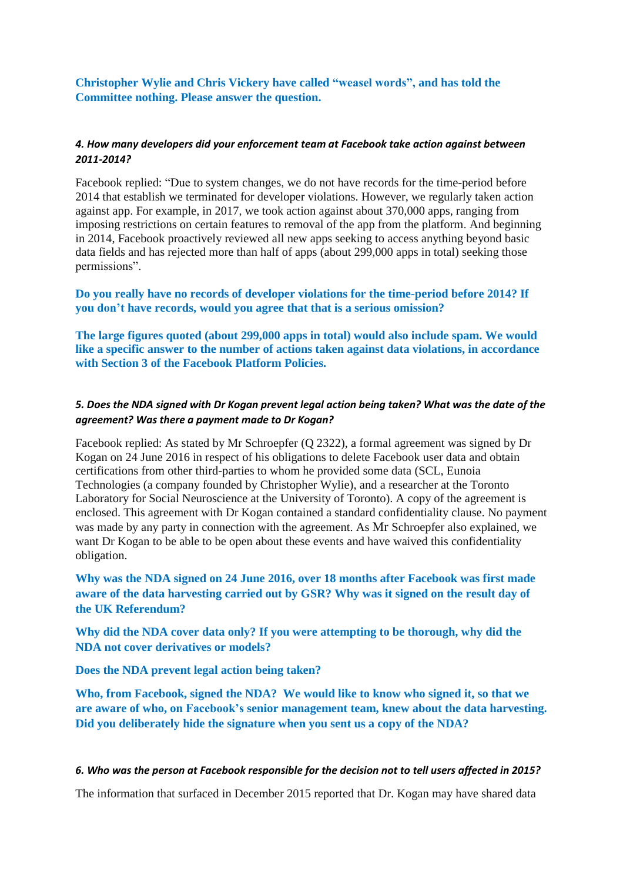**Christopher Wylie and Chris Vickery have called "weasel words", and has told the Committee nothing. Please answer the question.**

## *4. How many developers did your enforcement team at Facebook take action against between 2011-2014?*

Facebook replied: "Due to system changes, we do not have records for the time-period before 2014 that establish we terminated for developer violations. However, we regularly taken action against app. For example, in 2017, we took action against about 370,000 apps, ranging from imposing restrictions on certain features to removal of the app from the platform. And beginning in 2014, Facebook proactively reviewed all new apps seeking to access anything beyond basic data fields and has rejected more than half of apps (about 299,000 apps in total) seeking those permissions".

**Do you really have no records of developer violations for the time-period before 2014? If you don't have records, would you agree that that is a serious omission?**

**The large figures quoted (about 299,000 apps in total) would also include spam. We would like a specific answer to the number of actions taken against data violations, in accordance with Section 3 of the Facebook Platform Policies.**

## 5. Does the NDA signed with Dr Kogan prevent legal action being taken? What was the date of the *agreement? Was there a payment made to Dr Kogan?*

Facebook replied: As stated by Mr Schroepfer (Q 2322), a formal agreement was signed by Dr Kogan on 24 June 2016 in respect of his obligations to delete Facebook user data and obtain certifications from other third-parties to whom he provided some data (SCL, Eunoia Technologies (a company founded by Christopher Wylie), and a researcher at the Toronto Laboratory for Social Neuroscience at the University of Toronto). A copy of the agreement is enclosed. This agreement with Dr Kogan contained a standard confidentiality clause. No payment was made by any party in connection with the agreement. As Mr Schroepfer also explained, we want Dr Kogan to be able to be open about these events and have waived this confidentiality obligation.

**Why was the NDA signed on 24 June 2016, over 18 months after Facebook was first made aware of the data harvesting carried out by GSR? Why was it signed on the result day of the UK Referendum?**

**Why did the NDA cover data only? If you were attempting to be thorough, why did the NDA not cover derivatives or models?**

**Does the NDA prevent legal action being taken?**

**Who, from Facebook, signed the NDA? We would like to know who signed it, so that we are aware of who, on Facebook's senior management team, knew about the data harvesting. Did you deliberately hide the signature when you sent us a copy of the NDA?**

#### *6. Who was the person at Facebook responsible for the decision not to tell users affected in 2015?*

The information that surfaced in December 2015 reported that Dr. Kogan may have shared data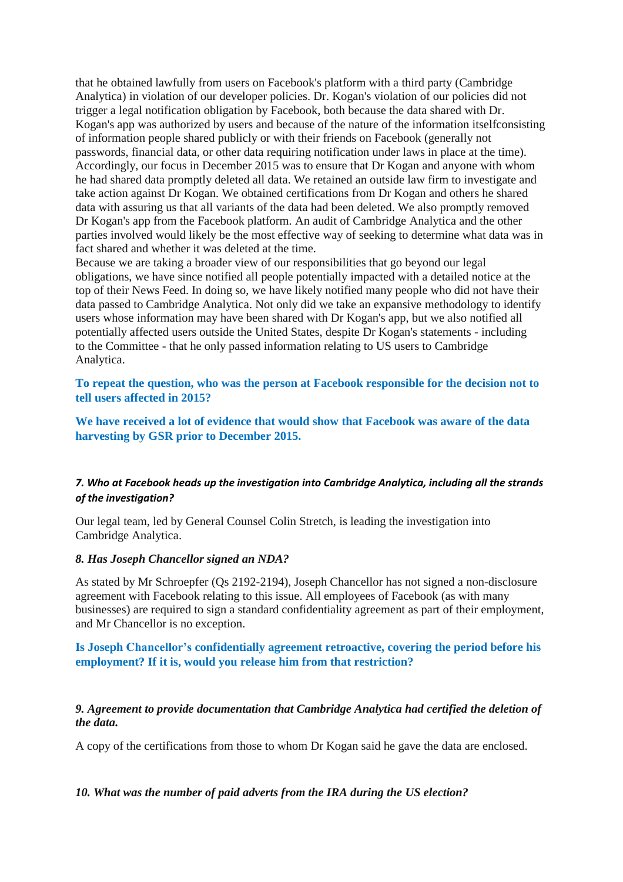that he obtained lawfully from users on Facebook's platform with a third party (Cambridge Analytica) in violation of our developer policies. Dr. Kogan's violation of our policies did not trigger a legal notification obligation by Facebook, both because the data shared with Dr. Kogan's app was authorized by users and because of the nature of the information itselfconsisting of information people shared publicly or with their friends on Facebook (generally not passwords, financial data, or other data requiring notification under laws in place at the time). Accordingly, our focus in December 2015 was to ensure that Dr Kogan and anyone with whom he had shared data promptly deleted all data. We retained an outside law firm to investigate and take action against Dr Kogan. We obtained certifications from Dr Kogan and others he shared data with assuring us that all variants of the data had been deleted. We also promptly removed Dr Kogan's app from the Facebook platform. An audit of Cambridge Analytica and the other parties involved would likely be the most effective way of seeking to determine what data was in fact shared and whether it was deleted at the time.

Because we are taking a broader view of our responsibilities that go beyond our legal obligations, we have since notified all people potentially impacted with a detailed notice at the top of their News Feed. In doing so, we have likely notified many people who did not have their data passed to Cambridge Analytica. Not only did we take an expansive methodology to identify users whose information may have been shared with Dr Kogan's app, but we also notified all potentially affected users outside the United States, despite Dr Kogan's statements - including to the Committee - that he only passed information relating to US users to Cambridge Analytica.

## **To repeat the question, who was the person at Facebook responsible for the decision not to tell users affected in 2015?**

**We have received a lot of evidence that would show that Facebook was aware of the data harvesting by GSR prior to December 2015.**

# *7. Who at Facebook heads up the investigation into Cambridge Analytica, including all the strands of the investigation?*

Our legal team, led by General Counsel Colin Stretch, is leading the investigation into Cambridge Analytica.

#### *8. Has Joseph Chancellor signed an NDA?*

As stated by Mr Schroepfer (Qs 2192-2194), Joseph Chancellor has not signed a non-disclosure agreement with Facebook relating to this issue. All employees of Facebook (as with many businesses) are required to sign a standard confidentiality agreement as part of their employment, and Mr Chancellor is no exception.

## **Is Joseph Chancellor's confidentially agreement retroactive, covering the period before his employment? If it is, would you release him from that restriction?**

# *9. Agreement to provide documentation that Cambridge Analytica had certified the deletion of the data.*

A copy of the certifications from those to whom Dr Kogan said he gave the data are enclosed.

#### *10. What was the number of paid adverts from the IRA during the US election?*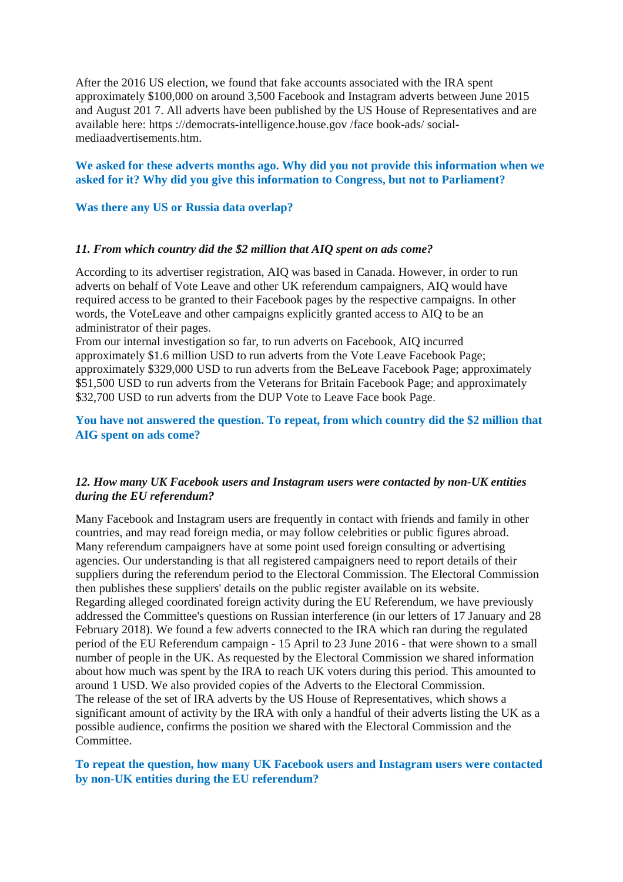After the 2016 US election, we found that fake accounts associated with the IRA spent approximately \$100,000 on around 3,500 Facebook and Instagram adverts between June 2015 and August 201 7. All adverts have been published by the US House of Representatives and are available here: https ://democrats-intelligence.house.gov /face book-ads/ socialmediaadvertisements.htm.

#### **We asked for these adverts months ago. Why did you not provide this information when we asked for it? Why did you give this information to Congress, but not to Parliament?**

**Was there any US or Russia data overlap?**

#### *11. From which country did the \$2 million that AIQ spent on ads come?*

According to its advertiser registration, AIQ was based in Canada. However, in order to run adverts on behalf of Vote Leave and other UK referendum campaigners, AIQ would have required access to be granted to their Facebook pages by the respective campaigns. In other words, the VoteLeave and other campaigns explicitly granted access to AIQ to be an administrator of their pages.

From our internal investigation so far, to run adverts on Facebook, AIQ incurred approximately \$1.6 million USD to run adverts from the Vote Leave Facebook Page; approximately \$329,000 USD to run adverts from the BeLeave Facebook Page; approximately \$51,500 USD to run adverts from the Veterans for Britain Facebook Page; and approximately \$32,700 USD to run adverts from the DUP Vote to Leave Face book Page.

## **You have not answered the question. To repeat, from which country did the \$2 million that AIG spent on ads come?**

### *12. How many UK Facebook users and Instagram users were contacted by non-UK entities during the EU referendum?*

Many Facebook and Instagram users are frequently in contact with friends and family in other countries, and may read foreign media, or may follow celebrities or public figures abroad. Many referendum campaigners have at some point used foreign consulting or advertising agencies. Our understanding is that all registered campaigners need to report details of their suppliers during the referendum period to the Electoral Commission. The Electoral Commission then publishes these suppliers' details on the public register available on its website. Regarding alleged coordinated foreign activity during the EU Referendum, we have previously addressed the Committee's questions on Russian interference (in our letters of 17 January and 28 February 2018). We found a few adverts connected to the IRA which ran during the regulated period of the EU Referendum campaign - 15 April to 23 June 2016 - that were shown to a small number of people in the UK. As requested by the Electoral Commission we shared information about how much was spent by the IRA to reach UK voters during this period. This amounted to around 1 USD. We also provided copies of the Adverts to the Electoral Commission. The release of the set of IRA adverts by the US House of Representatives, which shows a significant amount of activity by the IRA with only a handful of their adverts listing the UK as a possible audience, confirms the position we shared with the Electoral Commission and the Committee.

## **To repeat the question, how many UK Facebook users and Instagram users were contacted by non-UK entities during the EU referendum?**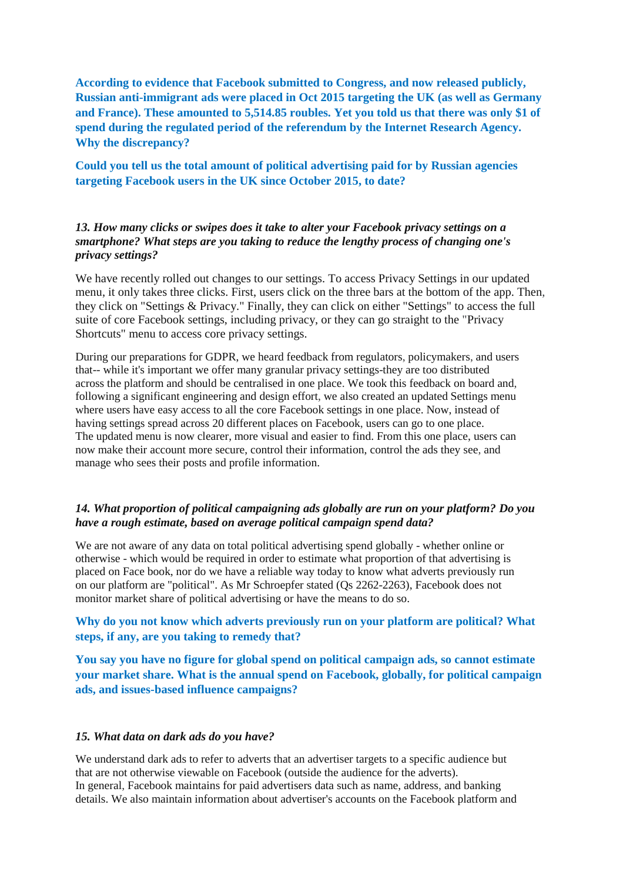**According to evidence that Facebook submitted to Congress, and now released publicly, Russian anti-immigrant ads were placed in Oct 2015 targeting the UK (as well as Germany and France). These amounted to 5,514.85 roubles. Yet you told us that there was only \$1 of spend during the regulated period of the referendum by the Internet Research Agency. Why the discrepancy?**

**Could you tell us the total amount of political advertising paid for by Russian agencies targeting Facebook users in the UK since October 2015, to date?**

## *13. How many clicks or swipes does it take to alter your Facebook privacy settings on a smartphone? What steps are you taking to reduce the lengthy process of changing one's privacy settings?*

We have recently rolled out changes to our settings. To access Privacy Settings in our updated menu, it only takes three clicks. First, users click on the three bars at the bottom of the app. Then, they click on "Settings & Privacy." Finally, they can click on either "Settings" to access the full suite of core Facebook settings, including privacy, or they can go straight to the "Privacy Shortcuts" menu to access core privacy settings.

During our preparations for GDPR, we heard feedback from regulators, policymakers, and users that-- while it's important we offer many granular privacy settings-they are too distributed across the platform and should be centralised in one place. We took this feedback on board and, following a significant engineering and design effort, we also created an updated Settings menu where users have easy access to all the core Facebook settings in one place. Now, instead of having settings spread across 20 different places on Facebook, users can go to one place. The updated menu is now clearer, more visual and easier to find. From this one place, users can now make their account more secure, control their information, control the ads they see, and manage who sees their posts and profile information.

## *14. What proportion of political campaigning ads globally are run on your platform? Do you have a rough estimate, based on average political campaign spend data?*

We are not aware of any data on total political advertising spend globally - whether online or otherwise - which would be required in order to estimate what proportion of that advertising is placed on Face book, nor do we have a reliable way today to know what adverts previously run on our platform are "political". As Mr Schroepfer stated (Qs 2262-2263), Facebook does not monitor market share of political advertising or have the means to do so.

## **Why do you not know which adverts previously run on your platform are political? What steps, if any, are you taking to remedy that?**

**You say you have no figure for global spend on political campaign ads, so cannot estimate your market share. What is the annual spend on Facebook, globally, for political campaign ads, and issues-based influence campaigns?**

#### *15. What data on dark ads do you have?*

We understand dark ads to refer to adverts that an advertiser targets to a specific audience but that are not otherwise viewable on Facebook (outside the audience for the adverts). In general, Facebook maintains for paid advertisers data such as name, address, and banking details. We also maintain information about advertiser's accounts on the Facebook platform and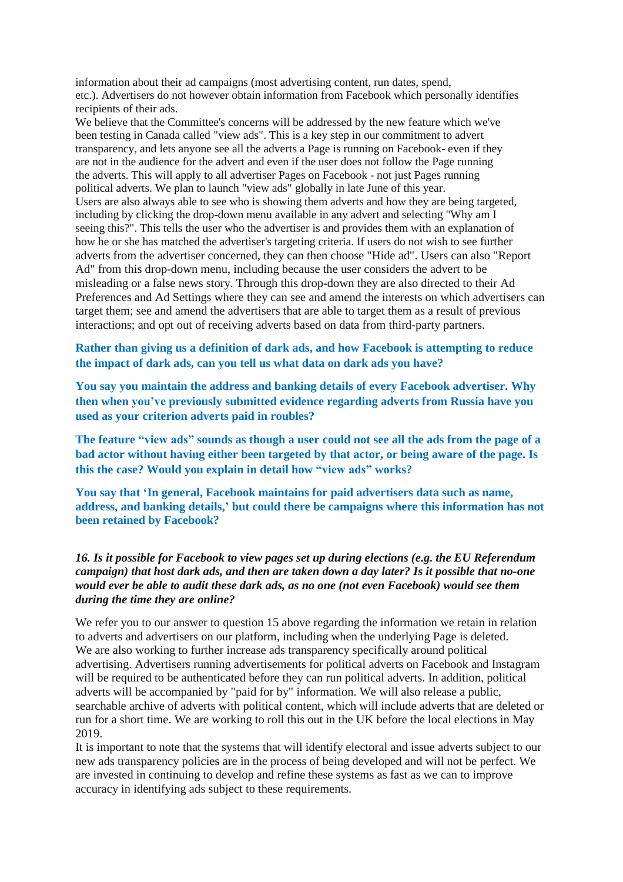information about their ad campaigns (most advertising content, run dates, spend, etc.). Advertisers do not however obtain information from Facebook which personally identifies recipients of their ads.

We believe that the Committee's concerns will be addressed by the new feature which we've been testing in Canada called "view ads". This is a key step in our commitment to advert transparency, and lets anyone see all the adverts a Page is running on Facebook- even if they are not in the audience for the advert and even if the user does not follow the Page running the adverts. This will apply to all advertiser Pages on Facebook - not just Pages running political adverts. We plan to launch "view ads" globally in late June of this year. Users are also always able to see who is showing them adverts and how they are being targeted, including by clicking the drop-down menu available in any advert and selecting "Why am I seeing this?". This tells the user who the advertiser is and provides them with an explanation of how he or she has matched the advertiser's targeting criteria. If users do not wish to see further adverts from the advertiser concerned, they can then choose "Hide ad". Users can also "Report Ad" from this drop-down menu, including because the user considers the advert to be misleading or a false news story. Through this drop-down they are also directed to their Ad Preferences and Ad Settings where they can see and amend the interests on which advertisers can target them; see and amend the advertisers that are able to target them as a result of previous interactions; and opt out of receiving adverts based on data from third-party partners.

# **Rather than giving us a definition of dark ads, and how Facebook is attempting to reduce the impact of dark ads, can you tell us what data on dark ads you have?**

**You say you maintain the address and banking details of every Facebook advertiser. Why then when you've previously submitted evidence regarding adverts from Russia have you used as your criterion adverts paid in roubles?**

The feature "view ads" sounds as though a user could not see all the ads from the page of a **bad actor without having either been targeted by that actor, or being aware of the page. Is this the case? Would you explain in detail how "view ads" works?**

**You say that 'In general, Facebook maintains for paid advertisers data such as name, address, and banking details,' but could there be campaigns where this information has not been retained by Facebook?**

## *16. Is it possible for Facebook to view pages set up during elections (e.g. the EU Referendum campaign) that host dark ads, and then are taken down a day later? Is it possible that no-one would ever be able to audit these dark ads, as no one (not even Facebook) would see them during the time they are online?*

We refer you to our answer to question 15 above regarding the information we retain in relation to adverts and advertisers on our platform, including when the underlying Page is deleted. We are also working to further increase ads transparency specifically around political advertising. Advertisers running advertisements for political adverts on Facebook and Instagram will be required to be authenticated before they can run political adverts. In addition, political adverts will be accompanied by "paid for by" information. We will also release a public, searchable archive of adverts with political content, which will include adverts that are deleted or run for a short time. We are working to roll this out in the UK before the local elections in May 2019.

It is important to note that the systems that will identify electoral and issue adverts subject to our new ads transparency policies are in the process of being developed and will not be perfect. We are invested in continuing to develop and refine these systems as fast as we can to improve accuracy in identifying ads subject to these requirements.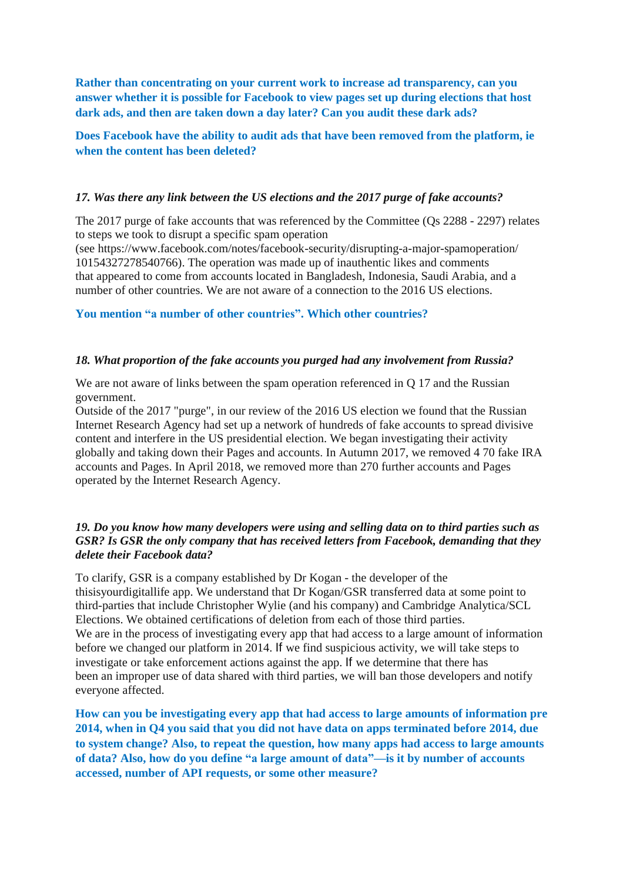**Rather than concentrating on your current work to increase ad transparency, can you answer whether it is possible for Facebook to view pages set up during elections that host dark ads, and then are taken down a day later? Can you audit these dark ads?**

**Does Facebook have the ability to audit ads that have been removed from the platform, ie when the content has been deleted?**

#### *17. Was there any link between the US elections and the 2017 purge of fake accounts?*

The 2017 purge of fake accounts that was referenced by the Committee (Qs 2288 - 2297) relates to steps we took to disrupt a specific spam operation

(see https://www.facebook.com/notes/facebook-security/disrupting-a-major-spamoperation/ 10154327278540766). The operation was made up of inauthentic likes and comments that appeared to come from accounts located in Bangladesh, Indonesia, Saudi Arabia, and a number of other countries. We are not aware of a connection to the 2016 US elections.

**You mention "a number of other countries". Which other countries?**

#### *18. What proportion of the fake accounts you purged had any involvement from Russia?*

We are not aware of links between the spam operation referenced in Q 17 and the Russian government.

Outside of the 2017 "purge", in our review of the 2016 US election we found that the Russian Internet Research Agency had set up a network of hundreds of fake accounts to spread divisive content and interfere in the US presidential election. We began investigating their activity globally and taking down their Pages and accounts. In Autumn 2017, we removed 4 70 fake IRA accounts and Pages. In April 2018, we removed more than 270 further accounts and Pages operated by the Internet Research Agency.

## *19. Do you know how many developers were using and selling data on to third parties such as GSR? Is GSR the only company that has received letters from Facebook, demanding that they delete their Facebook data?*

To clarify, GSR is a company established by Dr Kogan - the developer of the thisisyourdigitallife app. We understand that Dr Kogan/GSR transferred data at some point to third-parties that include Christopher Wylie (and his company) and Cambridge Analytica/SCL Elections. We obtained certifications of deletion from each of those third parties. We are in the process of investigating every app that had access to a large amount of information before we changed our platform in 2014. If we find suspicious activity, we will take steps to investigate or take enforcement actions against the app. If we determine that there has been an improper use of data shared with third parties, we will ban those developers and notify everyone affected.

**How can you be investigating every app that had access to large amounts of information pre 2014, when in Q4 you said that you did not have data on apps terminated before 2014, due to system change? Also, to repeat the question, how many apps had access to large amounts of data? Also, how do you define "a large amount of data"—is it by number of accounts accessed, number of API requests, or some other measure?**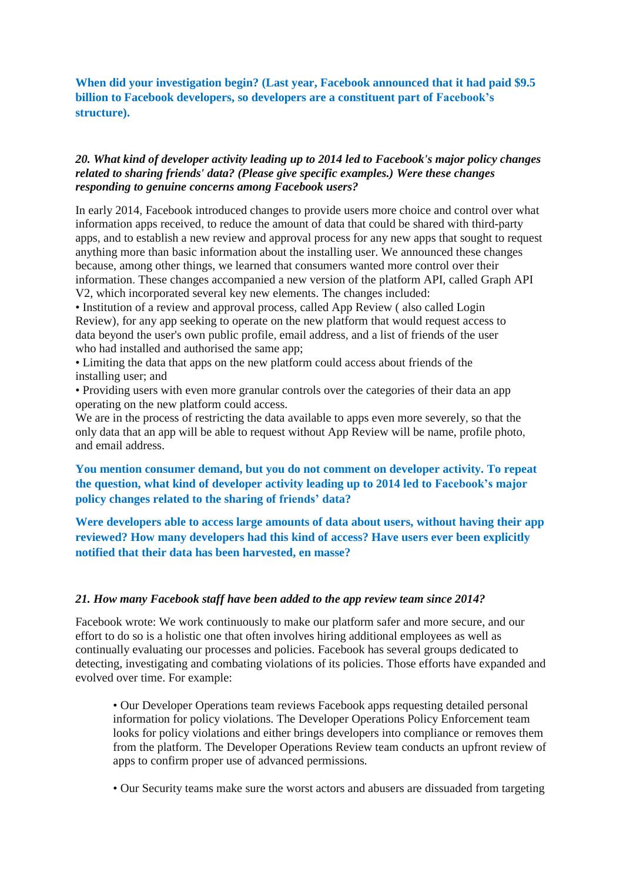**When did your investigation begin? (Last year, Facebook announced that it had paid \$9.5 billion to Facebook developers, so developers are a constituent part of Facebook's structure).**

## *20. What kind of developer activity leading up to 2014 led to Facebook's major policy changes related to sharing friends' data? (Please give specific examples.) Were these changes responding to genuine concerns among Facebook users?*

In early 2014, Facebook introduced changes to provide users more choice and control over what information apps received, to reduce the amount of data that could be shared with third-party apps, and to establish a new review and approval process for any new apps that sought to request anything more than basic information about the installing user. We announced these changes because, among other things, we learned that consumers wanted more control over their information. These changes accompanied a new version of the platform API, called Graph API V2, which incorporated several key new elements. The changes included:

• Institution of a review and approval process, called App Review ( also called Login Review), for any app seeking to operate on the new platform that would request access to data beyond the user's own public profile, email address, and a list of friends of the user who had installed and authorised the same app;

• Limiting the data that apps on the new platform could access about friends of the installing user; and

• Providing users with even more granular controls over the categories of their data an app operating on the new platform could access.

We are in the process of restricting the data available to apps even more severely, so that the only data that an app will be able to request without App Review will be name, profile photo, and email address.

**You mention consumer demand, but you do not comment on developer activity. To repeat the question, what kind of developer activity leading up to 2014 led to Facebook's major policy changes related to the sharing of friends' data?**

**Were developers able to access large amounts of data about users, without having their app reviewed? How many developers had this kind of access? Have users ever been explicitly notified that their data has been harvested, en masse?**

## *21. How many Facebook staff have been added to the app review team since 2014?*

Facebook wrote: We work continuously to make our platform safer and more secure, and our effort to do so is a holistic one that often involves hiring additional employees as well as continually evaluating our processes and policies. Facebook has several groups dedicated to detecting, investigating and combating violations of its policies. Those efforts have expanded and evolved over time. For example:

• Our Developer Operations team reviews Facebook apps requesting detailed personal information for policy violations. The Developer Operations Policy Enforcement team looks for policy violations and either brings developers into compliance or removes them from the platform. The Developer Operations Review team conducts an upfront review of apps to confirm proper use of advanced permissions.

• Our Security teams make sure the worst actors and abusers are dissuaded from targeting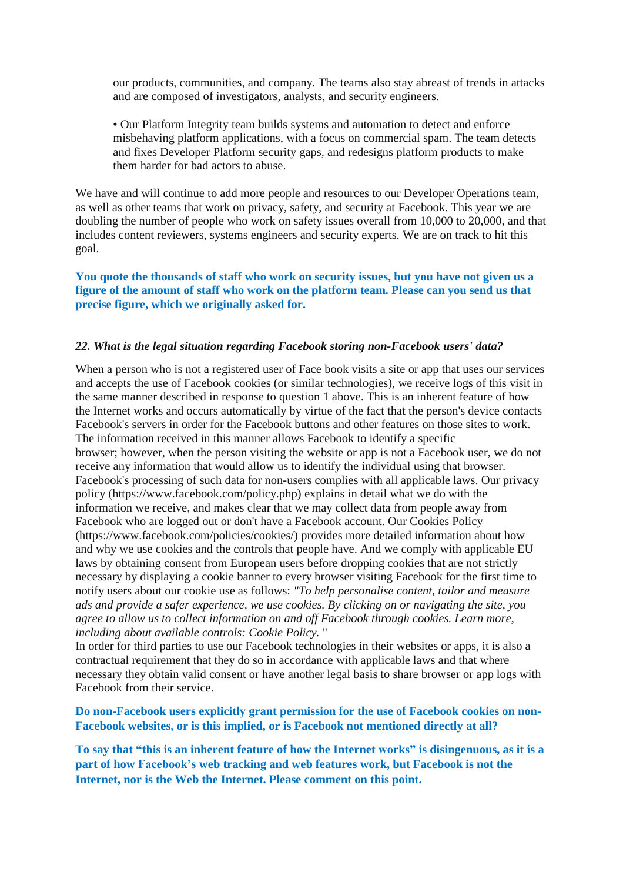our products, communities, and company. The teams also stay abreast of trends in attacks and are composed of investigators, analysts, and security engineers.

• Our Platform Integrity team builds systems and automation to detect and enforce misbehaving platform applications, with a focus on commercial spam. The team detects and fixes Developer Platform security gaps, and redesigns platform products to make them harder for bad actors to abuse.

We have and will continue to add more people and resources to our Developer Operations team, as well as other teams that work on privacy, safety, and security at Facebook. This year we are doubling the number of people who work on safety issues overall from 10,000 to 20,000, and that includes content reviewers, systems engineers and security experts. We are on track to hit this goal.

## **You quote the thousands of staff who work on security issues, but you have not given us a figure of the amount of staff who work on the platform team. Please can you send us that precise figure, which we originally asked for.**

#### *22. What is the legal situation regarding Facebook storing non-Facebook users' data?*

When a person who is not a registered user of Face book visits a site or app that uses our services and accepts the use of Facebook cookies (or similar technologies), we receive logs of this visit in the same manner described in response to question 1 above. This is an inherent feature of how the Internet works and occurs automatically by virtue of the fact that the person's device contacts Facebook's servers in order for the Facebook buttons and other features on those sites to work. The information received in this manner allows Facebook to identify a specific browser; however, when the person visiting the website or app is not a Facebook user, we do not receive any information that would allow us to identify the individual using that browser. Facebook's processing of such data for non-users complies with all applicable laws. Our privacy policy (https://www.facebook.com/policy.php) explains in detail what we do with the information we receive, and makes clear that we may collect data from people away from Facebook who are logged out or don't have a Facebook account. Our Cookies Policy (https://www.facebook.com/policies/cookies/) provides more detailed information about how and why we use cookies and the controls that people have. And we comply with applicable EU laws by obtaining consent from European users before dropping cookies that are not strictly necessary by displaying a cookie banner to every browser visiting Facebook for the first time to notify users about our cookie use as follows: *"To help personalise content, tailor and measure ads and provide a safer experience, we use cookies. By clicking on or navigating the site, you agree to allow us to collect information on and off Facebook through cookies. Learn more, including about available controls: Cookie Policy.* "

In order for third parties to use our Facebook technologies in their websites or apps, it is also a contractual requirement that they do so in accordance with applicable laws and that where necessary they obtain valid consent or have another legal basis to share browser or app logs with Facebook from their service.

## **Do non-Facebook users explicitly grant permission for the use of Facebook cookies on non-Facebook websites, or is this implied, or is Facebook not mentioned directly at all?**

To say that "this is an inherent feature of how the Internet works" is disingenuous, as it is a **part of how Facebook's web tracking and web features work, but Facebook is not the Internet, nor is the Web the Internet. Please comment on this point.**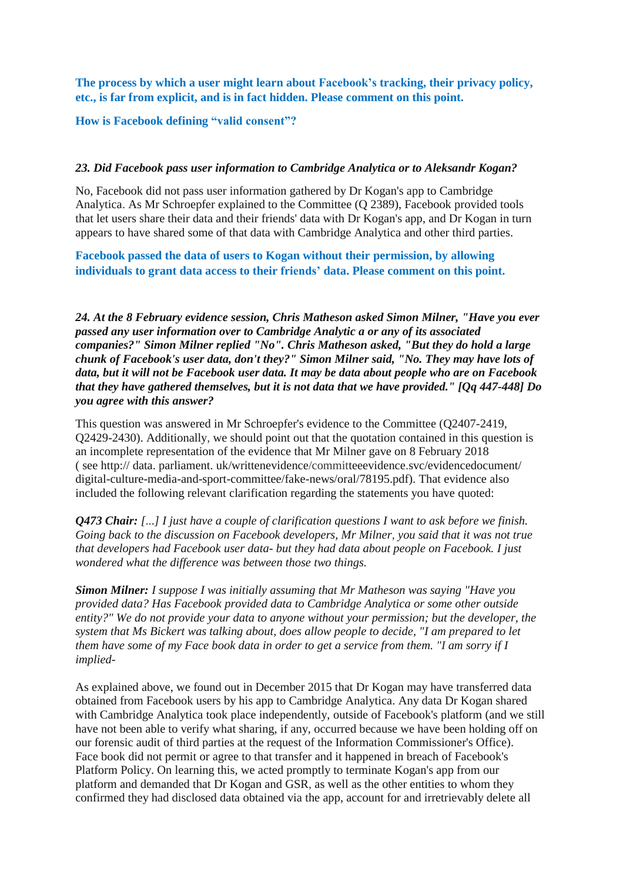**The process by which a user might learn about Facebook's tracking, their privacy policy, etc., is far from explicit, and is in fact hidden. Please comment on this point.**

## **How is Facebook defining "valid consent"?**

#### *23. Did Facebook pass user information to Cambridge Analytica or to Aleksandr Kogan?*

No, Facebook did not pass user information gathered by Dr Kogan's app to Cambridge Analytica. As Mr Schroepfer explained to the Committee (Q 2389), Facebook provided tools that let users share their data and their friends' data with Dr Kogan's app, and Dr Kogan in turn appears to have shared some of that data with Cambridge Analytica and other third parties.

**Facebook passed the data of users to Kogan without their permission, by allowing individuals to grant data access to their friends' data. Please comment on this point.**

*24. At the 8 February evidence session, Chris Matheson asked Simon Milner, "Have you ever passed any user information over to Cambridge Analytic a or any of its associated companies?" Simon Milner replied "No". Chris Matheson asked, "But they do hold a large chunk of Facebook's user data, don't they?" Simon Milner said, "No. They may have lots of* data, but it will not be Facebook user data. It may be data about people who are on Facebook *that they have gathered themselves, but it is not data that we have provided." [Qq 447-448] Do you agree with this answer?*

This question was answered in Mr Schroepfer's evidence to the Committee (Q2407-2419, Q2429-2430). Additionally, we should point out that the quotation contained in this question is an incomplete representation of the evidence that Mr Milner gave on 8 February 2018 ( see http:// data. parliament. uk/writtenevidence/committeeevidence.svc/evidencedocument/ digital-culture-media-and-sport-committee/fake-news/oral/78195.pdf). That evidence also included the following relevant clarification regarding the statements you have quoted:

*Q473 Chair: [...] I just have a couple of clarification questions I want to ask before we finish. Going back to the discussion on Facebook developers, Mr Milner, you said that it was not true that developers had Facebook user data- but they had data about people on Facebook. I just wondered what the difference was between those two things.*

*Simon Milner: I suppose I was initially assuming that Mr Matheson was saying "Have you provided data? Has Facebook provided data to Cambridge Analytica or some other outside entity?" We do not provide your data to anyone without your permission; but the developer, the system that Ms Bickert was talking about, does allow people to decide, "I am prepared to let* them have some of my Face book data in order to get a service from them. "I am sorry if I *implied-*

As explained above, we found out in December 2015 that Dr Kogan may have transferred data obtained from Facebook users by his app to Cambridge Analytica. Any data Dr Kogan shared with Cambridge Analytica took place independently, outside of Facebook's platform (and we still have not been able to verify what sharing, if any, occurred because we have been holding off on our forensic audit of third parties at the request of the Information Commissioner's Office). Face book did not permit or agree to that transfer and it happened in breach of Facebook's Platform Policy. On learning this, we acted promptly to terminate Kogan's app from our platform and demanded that Dr Kogan and GSR, as well as the other entities to whom they confirmed they had disclosed data obtained via the app, account for and irretrievably delete all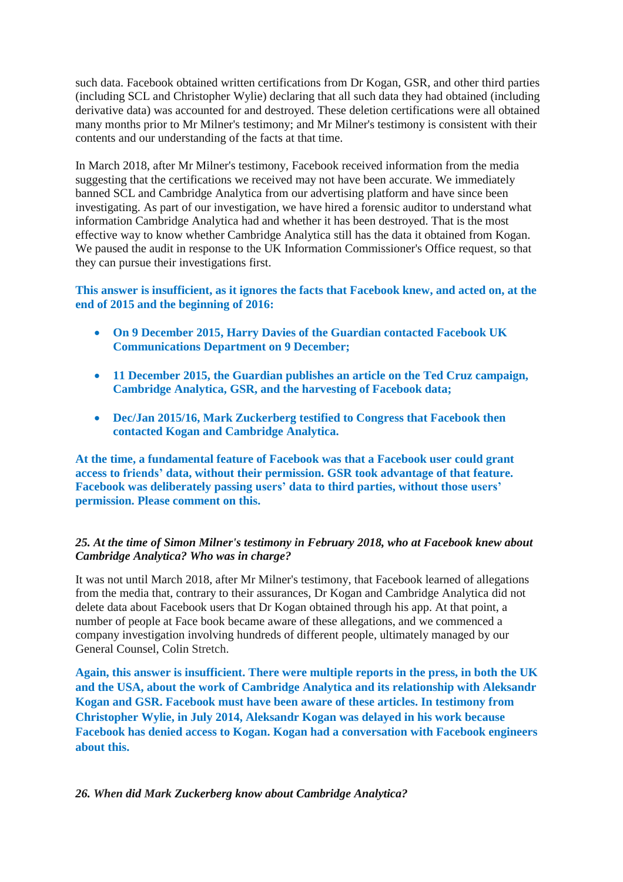such data. Facebook obtained written certifications from Dr Kogan, GSR, and other third parties (including SCL and Christopher Wylie) declaring that all such data they had obtained (including derivative data) was accounted for and destroyed. These deletion certifications were all obtained many months prior to Mr Milner's testimony; and Mr Milner's testimony is consistent with their contents and our understanding of the facts at that time.

In March 2018, after Mr Milner's testimony, Facebook received information from the media suggesting that the certifications we received may not have been accurate. We immediately banned SCL and Cambridge Analytica from our advertising platform and have since been investigating. As part of our investigation, we have hired a forensic auditor to understand what information Cambridge Analytica had and whether it has been destroyed. That is the most effective way to know whether Cambridge Analytica still has the data it obtained from Kogan. We paused the audit in response to the UK Information Commissioner's Office request, so that they can pursue their investigations first.

## **This answer is insufficient, as it ignores the facts that Facebook knew, and acted on, at the end of 2015 and the beginning of 2016:**

- **On 9 December 2015, Harry Davies of the Guardian contacted Facebook UK Communications Department on 9 December;**
- **11 December 2015, the Guardian publishes an article on the Ted Cruz campaign, Cambridge Analytica, GSR, and the harvesting of Facebook data;**
- **Dec/Jan 2015/16, Mark Zuckerberg testified to Congress that Facebook then contacted Kogan and Cambridge Analytica.**

**At the time, a fundamental feature of Facebook was that a Facebook user could grant access to friends' data, without their permission. GSR took advantage of that feature. Facebook was deliberately passing users' data to third parties, without those users' permission. Please comment on this.**

# *25. At the time of Simon Milner's testimony in February 2018, who at Facebook knew about Cambridge Analytica? Who was in charge?*

It was not until March 2018, after Mr Milner's testimony, that Facebook learned of allegations from the media that, contrary to their assurances, Dr Kogan and Cambridge Analytica did not delete data about Facebook users that Dr Kogan obtained through his app. At that point, a number of people at Face book became aware of these allegations, and we commenced a company investigation involving hundreds of different people, ultimately managed by our General Counsel, Colin Stretch.

**Again, this answer is insufficient. There were multiple reports in the press, in both the UK and the USA, about the work of Cambridge Analytica and its relationship with Aleksandr Kogan and GSR. Facebook must have been aware of these articles. In testimony from Christopher Wylie, in July 2014, Aleksandr Kogan was delayed in his work because Facebook has denied access to Kogan. Kogan had a conversation with Facebook engineers about this.**

*26. When did Mark Zuckerberg know about Cambridge Analytica?*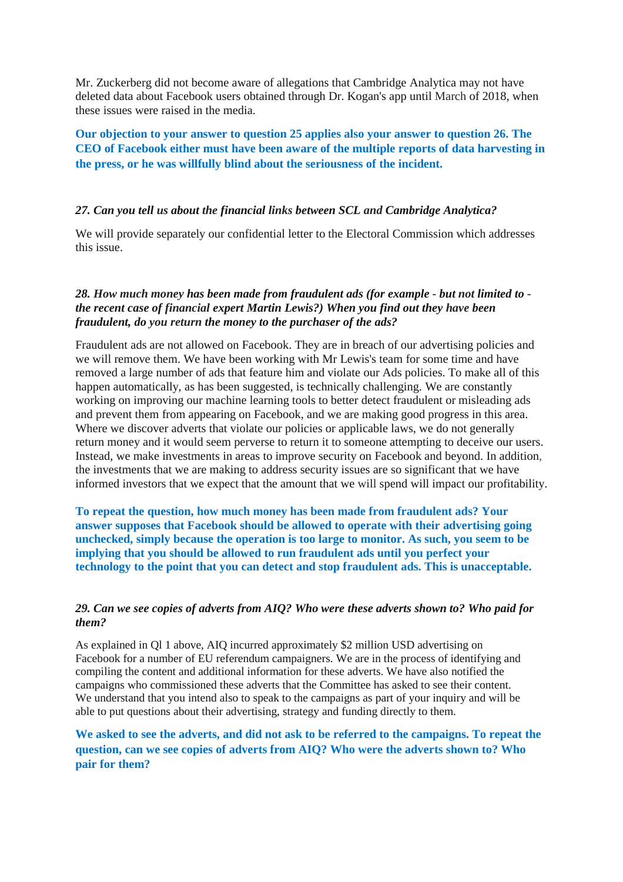Mr. Zuckerberg did not become aware of allegations that Cambridge Analytica may not have deleted data about Facebook users obtained through Dr. Kogan's app until March of 2018, when these issues were raised in the media.

**Our objection to your answer to question 25 applies also your answer to question 26. The CEO of Facebook either must have been aware of the multiple reports of data harvesting in the press, or he was willfully blind about the seriousness of the incident.**

#### *27. Can you tell us about the financial links between SCL and Cambridge Analytica?*

We will provide separately our confidential letter to the Electoral Commission which addresses this issue.

### *28. How much money has been made from fraudulent ads (for example* - *but not limited to the recent case of financial expert Martin Lewis?) When you find out they have been fraudulent, do you return the money to the purchaser of the ads?*

Fraudulent ads are not allowed on Facebook. They are in breach of our advertising policies and we will remove them. We have been working with Mr Lewis's team for some time and have removed a large number of ads that feature him and violate our Ads policies. To make all of this happen automatically, as has been suggested, is technically challenging. We are constantly working on improving our machine learning tools to better detect fraudulent or misleading ads and prevent them from appearing on Facebook, and we are making good progress in this area. Where we discover adverts that violate our policies or applicable laws, we do not generally return money and it would seem perverse to return it to someone attempting to deceive our users. Instead, we make investments in areas to improve security on Facebook and beyond. In addition, the investments that we are making to address security issues are so significant that we have informed investors that we expect that the amount that we will spend will impact our profitability.

## **To repeat the question, how much money has been made from fraudulent ads? Your answer supposes that Facebook should be allowed to operate with their advertising going unchecked, simply because the operation is too large to monitor. As such, you seem to be implying that you should be allowed to run fraudulent ads until you perfect your technology to the point that you can detect and stop fraudulent ads. This is unacceptable.**

#### *29. Can we see copies of adverts from AIQ? Who were these adverts shown to? Who paid for them?*

As explained in Ql 1 above, AIQ incurred approximately \$2 million USD advertising on Facebook for a number of EU referendum campaigners. We are in the process of identifying and compiling the content and additional information for these adverts. We have also notified the campaigns who commissioned these adverts that the Committee has asked to see their content. We understand that you intend also to speak to the campaigns as part of your inquiry and will be able to put questions about their advertising, strategy and funding directly to them.

# **We asked to see the adverts, and did not ask to be referred to the campaigns. To repeat the question, can we see copies of adverts from AIQ? Who were the adverts shown to? Who pair for them?**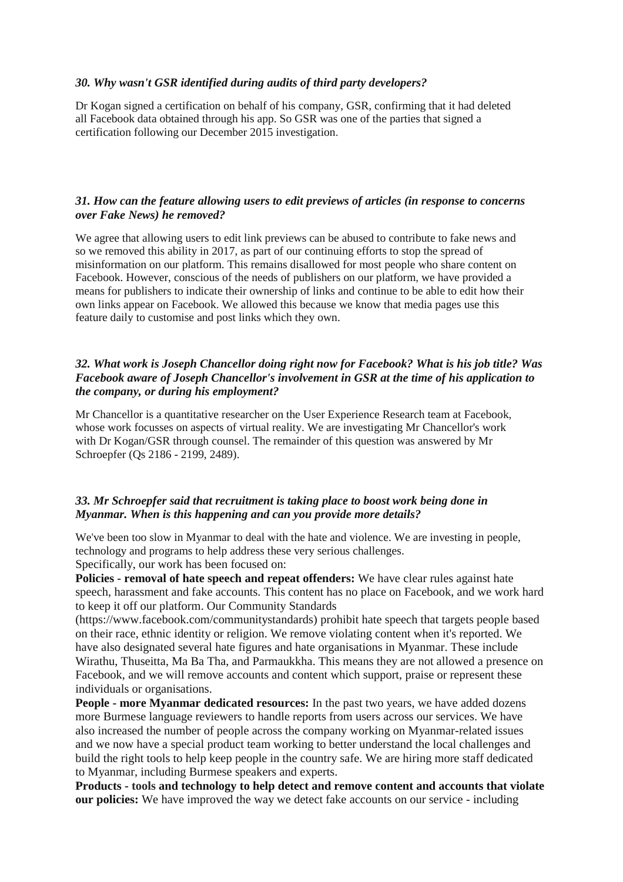#### *30. Why wasn't GSR identified during audits of third party developers?*

Dr Kogan signed a certification on behalf of his company, GSR, confirming that it had deleted all Facebook data obtained through his app. So GSR was one of the parties that signed a certification following our December 2015 investigation.

## *31. How can the feature allowing users to edit previews of articles (in response to concerns over Fake News) he removed?*

We agree that allowing users to edit link previews can be abused to contribute to fake news and so we removed this ability in 2017, as part of our continuing efforts to stop the spread of misinformation on our platform. This remains disallowed for most people who share content on Facebook. However, conscious of the needs of publishers on our platform, we have provided a means for publishers to indicate their ownership of links and continue to be able to edit how their own links appear on Facebook. We allowed this because we know that media pages use this feature daily to customise and post links which they own.

# *32. What work is Joseph Chancellor doing right now for Facebook? What is his job title? Was Facebook aware of Joseph Chancellor's involvement in GSR at the time of his application to the company, or during his employment?*

Mr Chancellor is a quantitative researcher on the User Experience Research team at Facebook, whose work focusses on aspects of virtual reality. We are investigating Mr Chancellor's work with Dr Kogan/GSR through counsel. The remainder of this question was answered by Mr Schroepfer (Qs 2186 - 2199, 2489).

## *33. Mr Schroepfer said that recruitment is taking place to boost work being done in Myanmar. When is this happening and can you provide more details?*

We've been too slow in Myanmar to deal with the hate and violence. We are investing in people, technology and programs to help address these very serious challenges. Specifically, our work has been focused on:

**Policies - removal of hate speech and repeat offenders:** We have clear rules against hate speech, harassment and fake accounts. This content has no place on Facebook, and we work hard to keep it off our platform. Our Community Standards

(https://www.facebook.com/communitystandards) prohibit hate speech that targets people based on their race, ethnic identity or religion. We remove violating content when it's reported. We have also designated several hate figures and hate organisations in Myanmar. These include Wirathu, Thuseitta, Ma Ba Tha, and Parmaukkha. This means they are not allowed a presence on Facebook, and we will remove accounts and content which support, praise or represent these individuals or organisations.

**People - more Myanmar dedicated resources:** In the past two years, we have added dozens more Burmese language reviewers to handle reports from users across our services. We have also increased the number of people across the company working on Myanmar-related issues and we now have a special product team working to better understand the local challenges and build the right tools to help keep people in the country safe. We are hiring more staff dedicated to Myanmar, including Burmese speakers and experts.

**Products - tools and technology to help detect and remove content and accounts that violate our policies:** We have improved the way we detect fake accounts on our service - including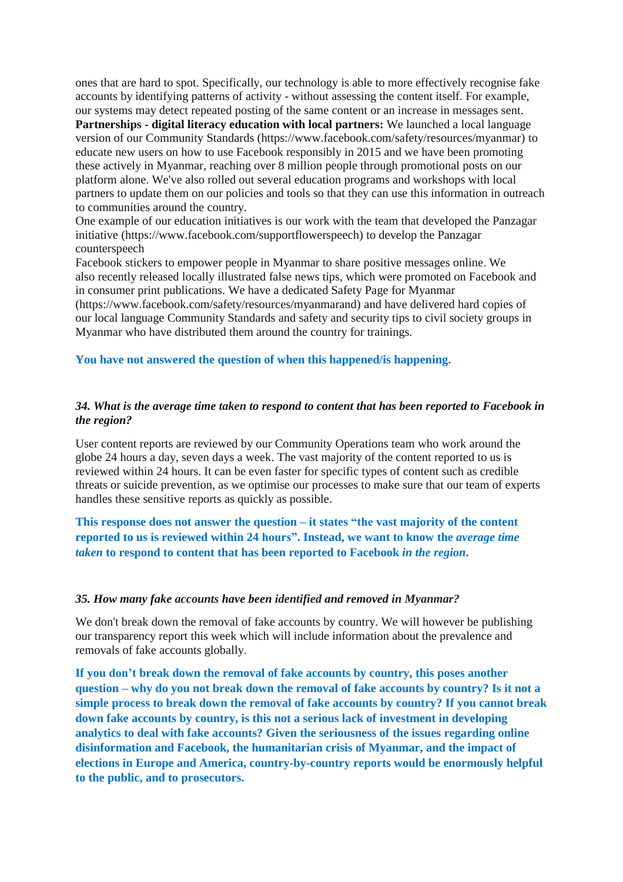ones that are hard to spot. Specifically, our technology is able to more effectively recognise fake accounts by identifying patterns of activity - without assessing the content itself. For example, our systems may detect repeated posting of the same content or an increase in messages sent. **Partnerships - digital literacy education with local partners:** We launched a local language version of our Community Standards (https://www.facebook.com/safety/resources/myanmar) to educate new users on how to use Facebook responsibly in 2015 and we have been promoting these actively in Myanmar, reaching over 8 million people through promotional posts on our platform alone. We've also rolled out several education programs and workshops with local partners to update them on our policies and tools so that they can use this information in outreach to communities around the country.

One example of our education initiatives is our work with the team that developed the Panzagar initiative (https://www.facebook.com/supportflowerspeech) to develop the Panzagar counterspeech

Facebook stickers to empower people in Myanmar to share positive messages online. We also recently released locally illustrated false news tips, which were promoted on Facebook and in consumer print publications. We have a dedicated Safety Page for Myanmar

(https://www.facebook.com/safety/resources/myanmarand) and have delivered hard copies of our local language Community Standards and safety and security tips to civil society groups in Myanmar who have distributed them around the country for trainings.

#### **You have not answered the question of when this happened/is happening.**

#### *34. What is the average time taken to respond to content that has been reported to Facebook in the region?*

User content reports are reviewed by our Community Operations team who work around the globe 24 hours a day, seven days a week. The vast majority of the content reported to us is reviewed within 24 hours. It can be even faster for specific types of content such as credible threats or suicide prevention, as we optimise our processes to make sure that our team of experts handles these sensitive reports as quickly as possible.

**This response does not answer the question – it states "the vast majority of the content reported to us is reviewed within 24 hours". Instead, we want to know the** *average time taken* **to respond to content that has been reported to Facebook** *in the region***.**

#### *35. How many fake accounts have been identified and removed in Myanmar?*

We don't break down the removal of fake accounts by country. We will however be publishing our transparency report this week which will include information about the prevalence and removals of fake accounts globally.

**If you don't break down the removal of fake accounts by country, this poses another question – why do you not break down the removal of fake accounts by country? Is it not a simple process to break down the removal of fake accounts by country? If you cannot break down fake accounts by country, is this not a serious lack of investment in developing analytics to deal with fake accounts? Given the seriousness of the issues regarding online disinformation and Facebook, the humanitarian crisis of Myanmar, and the impact of elections in Europe and America, country-by-country reports would be enormously helpful to the public, and to prosecutors.**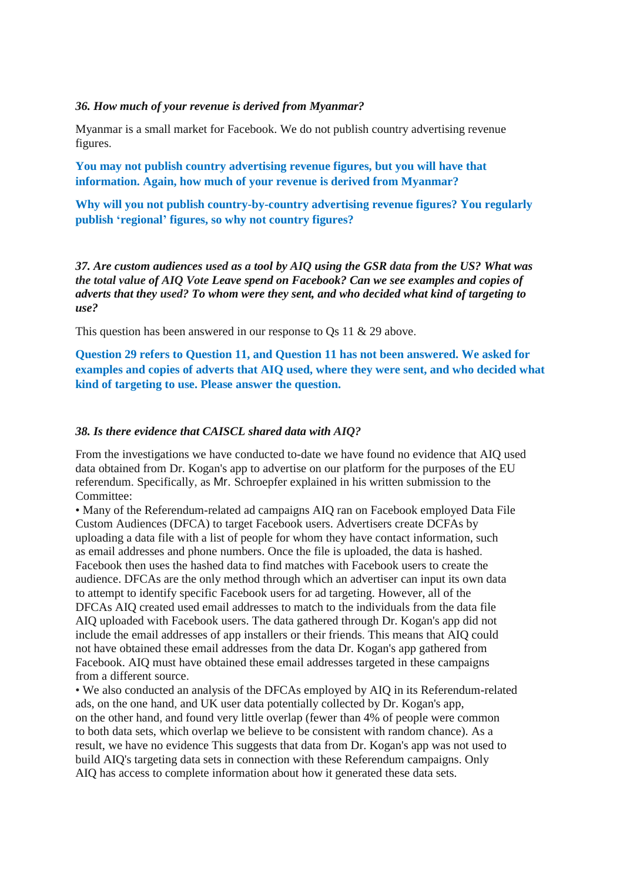#### *36. How much of your revenue is derived from Myanmar?*

Myanmar is a small market for Facebook. We do not publish country advertising revenue figures.

**You may not publish country advertising revenue figures, but you will have that information. Again, how much of your revenue is derived from Myanmar?**

**Why will you not publish country-by-country advertising revenue figures? You regularly publish 'regional' figures, so why not country figures?**

*37. Are custom audiences used as a tool by AIQ using the GSR data from the US? What was the total value of AIQ Vote Leave spend on Facebook? Can we see examples and copies of adverts that they used? To whom were they sent, and who decided what kind of targeting to use?*

This question has been answered in our response to Qs 11 & 29 above.

**Question 29 refers to Question 11, and Question 11 has not been answered. We asked for examples and copies of adverts that AIQ used, where they were sent, and who decided what kind of targeting to use. Please answer the question.**

#### *38. Is there evidence that CAISCL shared data with AIQ?*

From the investigations we have conducted to-date we have found no evidence that AIQ used data obtained from Dr. Kogan's app to advertise on our platform for the purposes of the EU referendum. Specifically, as Mr. Schroepfer explained in his written submission to the Committee:

• Many of the Referendum-related ad campaigns AIQ ran on Facebook employed Data File Custom Audiences (DFCA) to target Facebook users. Advertisers create DCFAs by uploading a data file with a list of people for whom they have contact information, such as email addresses and phone numbers. Once the file is uploaded, the data is hashed. Facebook then uses the hashed data to find matches with Facebook users to create the audience. DFCAs are the only method through which an advertiser can input its own data to attempt to identify specific Facebook users for ad targeting. However, all of the DFCAs AIQ created used email addresses to match to the individuals from the data file AIQ uploaded with Facebook users. The data gathered through Dr. Kogan's app did not include the email addresses of app installers or their friends. This means that AIQ could not have obtained these email addresses from the data Dr. Kogan's app gathered from Facebook. AIQ must have obtained these email addresses targeted in these campaigns from a different source.

• We also conducted an analysis of the DFCAs employed by AIQ in its Referendum-related ads, on the one hand, and UK user data potentially collected by Dr. Kogan's app, on the other hand, and found very little overlap (fewer than 4% of people were common to both data sets, which overlap we believe to be consistent with random chance). As a result, we have no evidence This suggests that data from Dr. Kogan's app was not used to build AIQ's targeting data sets in connection with these Referendum campaigns. Only AIQ has access to complete information about how it generated these data sets.